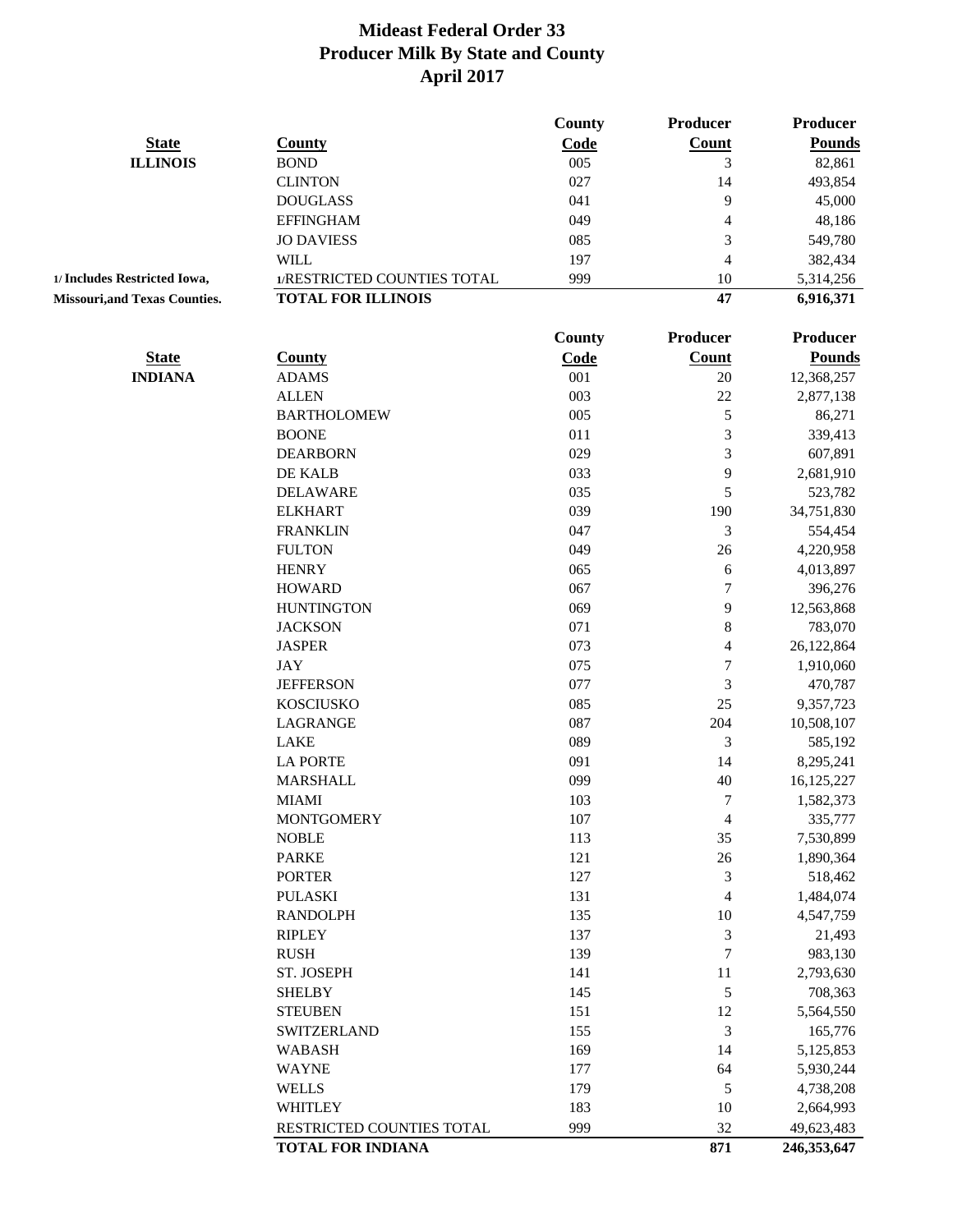|                                     |                             | <b>County</b> | Producer                 | Producer        |
|-------------------------------------|-----------------------------|---------------|--------------------------|-----------------|
| <b>State</b>                        | <b>County</b>               | Code          | <b>Count</b>             | <b>Pounds</b>   |
| <b>ILLINOIS</b>                     | <b>BOND</b>                 | 005           | 3                        | 82,861          |
|                                     | <b>CLINTON</b>              | 027           | 14                       | 493,854         |
|                                     | <b>DOUGLASS</b>             | 041           | 9                        | 45,000          |
|                                     | <b>EFFINGHAM</b>            | 049           | $\overline{\mathcal{A}}$ | 48,186          |
|                                     | <b>JO DAVIESS</b>           | 085           | 3                        | 549,780         |
|                                     | <b>WILL</b>                 | 197           | $\overline{4}$           | 382,434         |
| 1/ Includes Restricted Iowa,        | 1/RESTRICTED COUNTIES TOTAL | 999           | 10                       | 5,314,256       |
| <b>Missouri,and Texas Counties.</b> | <b>TOTAL FOR ILLINOIS</b>   |               | 47                       | 6,916,371       |
|                                     |                             | <b>County</b> | Producer                 | <b>Producer</b> |
| <b>State</b>                        | <b>County</b>               | Code          | <b>Count</b>             | <b>Pounds</b>   |
| <b>INDIANA</b>                      | <b>ADAMS</b>                | 001           | $20\,$                   | 12,368,257      |
|                                     | <b>ALLEN</b>                | 003           | 22                       | 2,877,138       |
|                                     | <b>BARTHOLOMEW</b>          | 005           | $\mathfrak s$            | 86,271          |
|                                     | <b>BOONE</b>                | 011           | 3                        | 339,413         |
|                                     | <b>DEARBORN</b>             | 029           | 3                        | 607,891         |
|                                     | DE KALB                     | 033           | 9                        | 2,681,910       |
|                                     | <b>DELAWARE</b>             | 035           | 5                        | 523,782         |
|                                     | <b>ELKHART</b>              | 039           | 190                      | 34,751,830      |
|                                     | <b>FRANKLIN</b>             | 047           | 3                        | 554,454         |
|                                     | <b>FULTON</b>               | 049           | 26                       | 4,220,958       |
|                                     | <b>HENRY</b>                | 065           | 6                        | 4,013,897       |
|                                     | <b>HOWARD</b>               | 067           | 7                        | 396,276         |
|                                     | <b>HUNTINGTON</b>           | 069           | 9                        | 12,563,868      |
|                                     | <b>JACKSON</b>              | 071           | 8                        | 783,070         |
|                                     | <b>JASPER</b>               | 073           | $\overline{\mathcal{L}}$ | 26,122,864      |
|                                     | <b>JAY</b>                  | 075           | $\boldsymbol{7}$         | 1,910,060       |
|                                     | <b>JEFFERSON</b>            | 077           | 3                        | 470,787         |
|                                     | <b>KOSCIUSKO</b>            | 085           | 25                       |                 |
|                                     |                             | 087           | 204                      | 9,357,723       |
|                                     | LAGRANGE                    |               |                          | 10,508,107      |
|                                     | <b>LAKE</b>                 | 089           | $\mathfrak{Z}$           | 585,192         |
|                                     | <b>LA PORTE</b>             | 091           | 14                       | 8,295,241       |
|                                     | <b>MARSHALL</b>             | 099           | 40                       | 16,125,227      |
|                                     | <b>MIAMI</b>                | 103           | 7                        | 1,582,373       |
|                                     | <b>MONTGOMERY</b>           | 107           | 4                        | 335,777         |
|                                     | <b>NOBLE</b>                | 113           | 35                       | 7,530,899       |
|                                     | <b>PARKE</b>                | 121           | $26\,$                   | 1,890,364       |
|                                     | <b>PORTER</b>               | 127           | 3                        | 518,462         |
|                                     | <b>PULASKI</b>              | 131           | 4                        | 1,484,074       |
|                                     | <b>RANDOLPH</b>             | 135           | 10                       | 4,547,759       |
|                                     | <b>RIPLEY</b>               | 137           | 3                        | 21,493          |
|                                     | <b>RUSH</b>                 | 139           | $\boldsymbol{7}$         | 983,130         |
|                                     | ST. JOSEPH                  | 141           | 11                       | 2,793,630       |
|                                     | <b>SHELBY</b>               | 145           | $\mathfrak s$            | 708,363         |
|                                     | <b>STEUBEN</b>              | 151           | 12                       | 5,564,550       |
|                                     | <b>SWITZERLAND</b>          | 155           | $\mathfrak{Z}$           | 165,776         |
|                                     | <b>WABASH</b>               | 169           | 14                       | 5,125,853       |
|                                     | <b>WAYNE</b>                | 177           | 64                       | 5,930,244       |
|                                     | <b>WELLS</b>                | 179           | $\mathfrak s$            | 4,738,208       |
|                                     | <b>WHITLEY</b>              | 183           | $10\,$                   | 2,664,993       |
|                                     | RESTRICTED COUNTIES TOTAL   | 999           | 32                       | 49,623,483      |
|                                     | <b>TOTAL FOR INDIANA</b>    |               | 871                      | 246,353,647     |
|                                     |                             |               |                          |                 |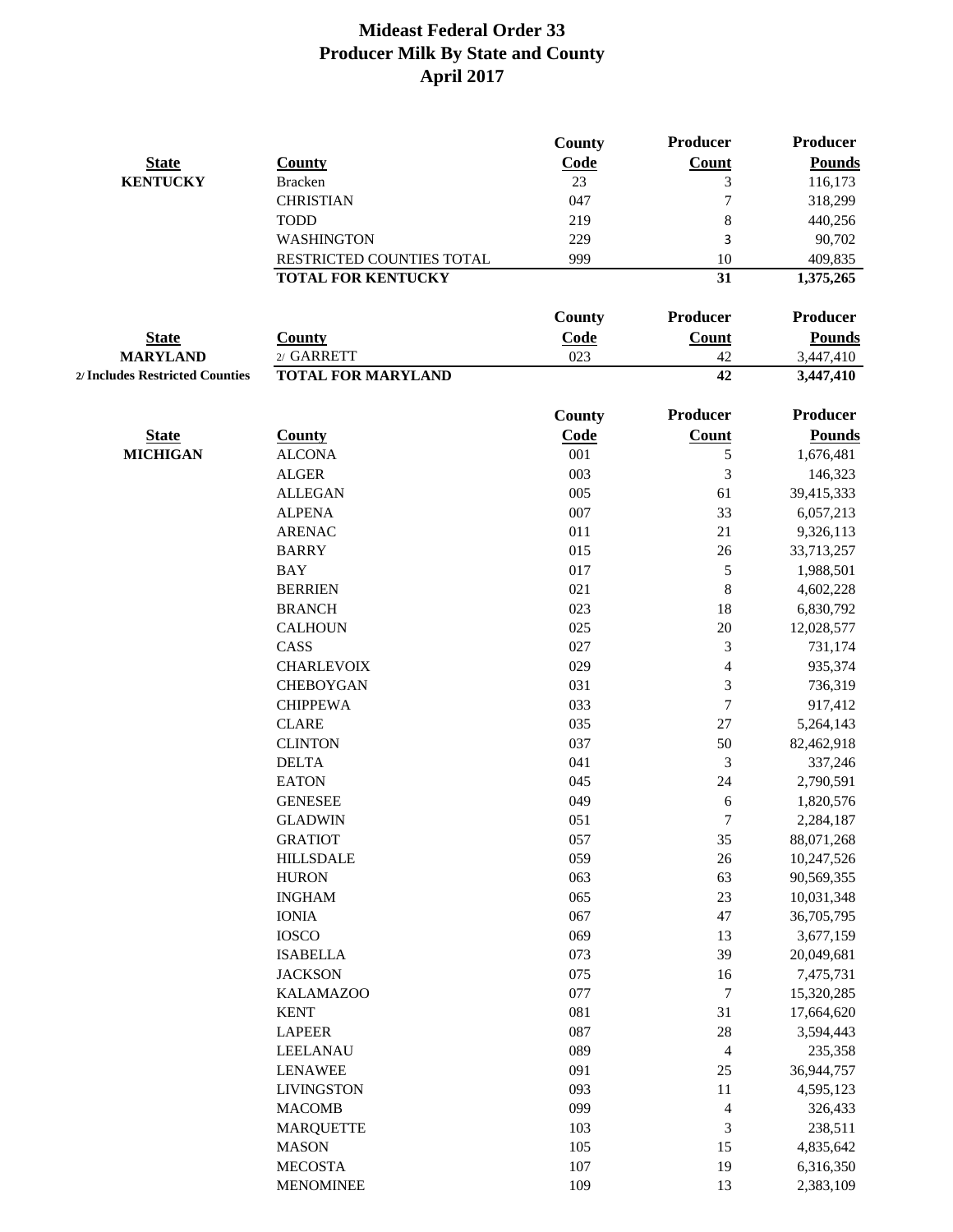|                                 |                           | County        | Producer                 | <b>Producer</b> |
|---------------------------------|---------------------------|---------------|--------------------------|-----------------|
| <b>State</b>                    | <b>County</b>             | Code          | <b>Count</b>             | <b>Pounds</b>   |
| <b>KENTUCKY</b>                 | <b>Bracken</b>            | 23            | 3                        | 116,173         |
|                                 | <b>CHRISTIAN</b>          | 047           | $\overline{7}$           | 318,299         |
|                                 | <b>TODD</b>               | 219           | 8                        | 440,256         |
|                                 | <b>WASHINGTON</b>         | 229           | 3                        | 90,702          |
|                                 | RESTRICTED COUNTIES TOTAL | 999           | 10                       | 409,835         |
|                                 | <b>TOTAL FOR KENTUCKY</b> |               | 31                       | 1,375,265       |
|                                 |                           | <b>County</b> | Producer                 | <b>Producer</b> |
| <b>State</b>                    | <b>County</b>             | Code          | Count                    | <b>Pounds</b>   |
| <b>MARYLAND</b>                 | 2/ GARRETT                | 023           | 42                       | 3,447,410       |
| 2/ Includes Restricted Counties | <b>TOTAL FOR MARYLAND</b> |               | 42                       | 3,447,410       |
|                                 |                           |               |                          |                 |
|                                 |                           | County        | Producer                 | <b>Producer</b> |
| <b>State</b>                    | <b>County</b>             | Code          | Count                    | <b>Pounds</b>   |
| <b>MICHIGAN</b>                 | <b>ALCONA</b>             | 001           | 5                        | 1,676,481       |
|                                 | <b>ALGER</b>              | 003           | 3                        | 146,323         |
|                                 | <b>ALLEGAN</b>            | 005           | 61                       | 39,415,333      |
|                                 | <b>ALPENA</b>             | 007           | 33                       | 6,057,213       |
|                                 | <b>ARENAC</b>             | 011           | 21                       | 9,326,113       |
|                                 | <b>BARRY</b>              | 015           | 26                       | 33,713,257      |
|                                 | <b>BAY</b>                | 017           | 5                        | 1,988,501       |
|                                 | <b>BERRIEN</b>            | 021           | $\,8\,$                  | 4,602,228       |
|                                 | <b>BRANCH</b>             | 023           | 18                       | 6,830,792       |
|                                 | <b>CALHOUN</b>            | 025           | $20\,$                   | 12,028,577      |
|                                 | CASS                      | 027           | 3                        | 731,174         |
|                                 | <b>CHARLEVOIX</b>         | 029           | 4                        | 935,374         |
|                                 | <b>CHEBOYGAN</b>          | 031           | 3                        | 736,319         |
|                                 | <b>CHIPPEWA</b>           | 033           | 7                        | 917,412         |
|                                 | <b>CLARE</b>              | 035           | 27                       | 5,264,143       |
|                                 | <b>CLINTON</b>            | 037           | 50                       | 82,462,918      |
|                                 | <b>DELTA</b>              | 041           | 3                        | 337,246         |
|                                 | <b>EATON</b>              | 045           | 24                       | 2,790,591       |
|                                 | <b>GENESEE</b>            | 049           | 6                        | 1,820,576       |
|                                 | <b>GLADWIN</b>            | 051           | 7                        | 2,284,187       |
|                                 | <b>GRATIOT</b>            | 057           | 35                       | 88,071,268      |
|                                 | <b>HILLSDALE</b>          | 059           | $26\,$                   | 10,247,526      |
|                                 | <b>HURON</b>              | 063           | 63                       | 90,569,355      |
|                                 | <b>INGHAM</b>             | 065           | $23\,$                   | 10,031,348      |
|                                 | <b>IONIA</b>              | 067           | 47                       | 36,705,795      |
|                                 | <b>IOSCO</b>              | 069           | 13                       | 3,677,159       |
|                                 | <b>ISABELLA</b>           | 073           | 39                       | 20,049,681      |
|                                 | <b>JACKSON</b>            | 075           | 16                       | 7,475,731       |
|                                 | <b>KALAMAZOO</b>          | 077           | 7                        | 15,320,285      |
|                                 | <b>KENT</b>               | 081           | 31                       | 17,664,620      |
|                                 | <b>LAPEER</b>             | 087           | $28\,$                   | 3,594,443       |
|                                 | LEELANAU                  | 089           | 4                        | 235,358         |
|                                 | <b>LENAWEE</b>            | 091           | 25                       | 36,944,757      |
|                                 | <b>LIVINGSTON</b>         | 093           | 11                       | 4,595,123       |
|                                 | <b>MACOMB</b>             | 099           | $\overline{\mathcal{L}}$ | 326,433         |
|                                 | <b>MARQUETTE</b>          | 103           | 3                        | 238,511         |
|                                 | <b>MASON</b>              | 105           | 15                       | 4,835,642       |
|                                 | <b>MECOSTA</b>            | 107           | 19                       | 6,316,350       |
|                                 | <b>MENOMINEE</b>          | 109           | 13                       | 2,383,109       |
|                                 |                           |               |                          |                 |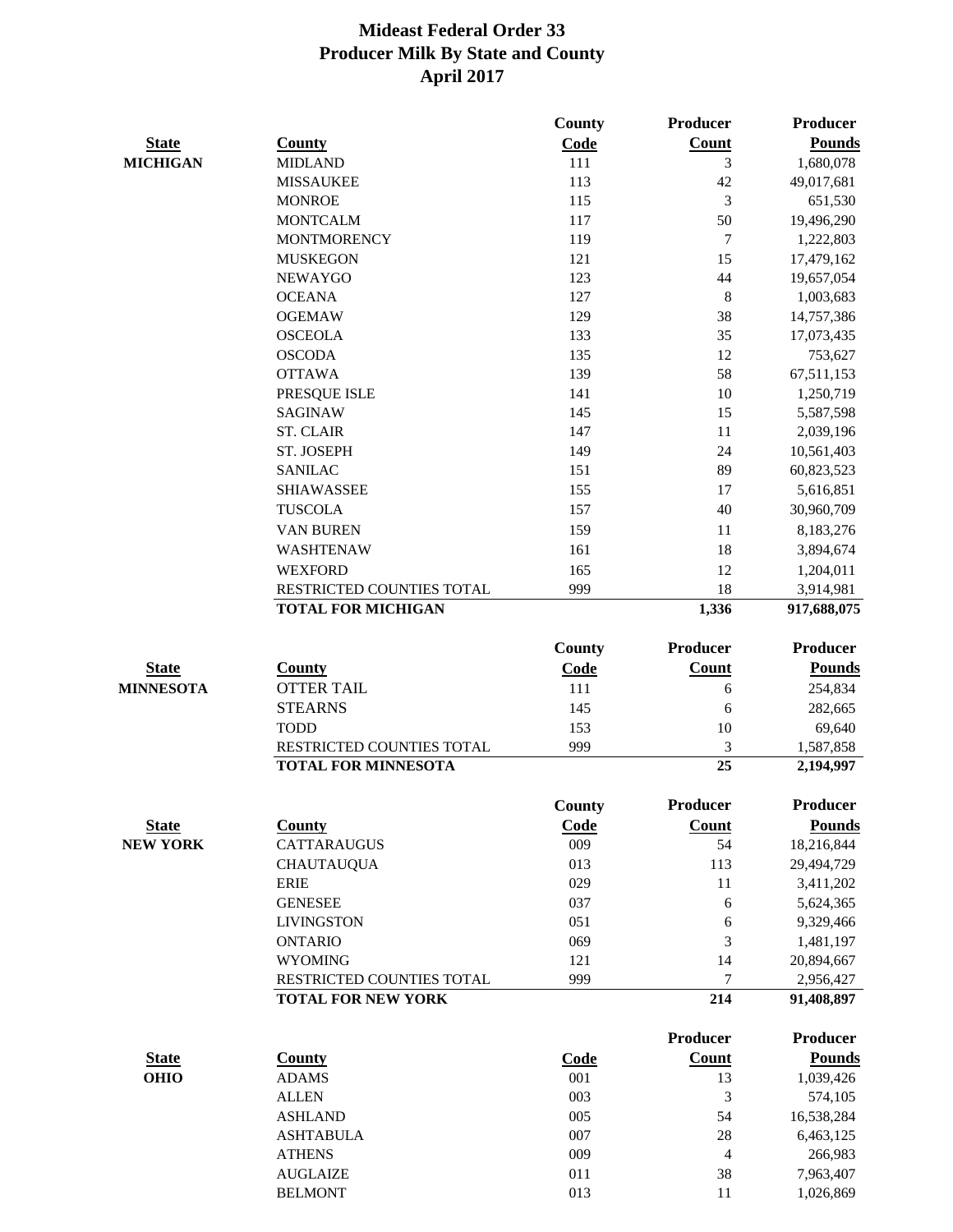|                  |                            | <b>County</b> | Producer        | <b>Producer</b> |
|------------------|----------------------------|---------------|-----------------|-----------------|
| <b>State</b>     | <b>County</b>              | Code          | Count           | <b>Pounds</b>   |
| <b>MICHIGAN</b>  | <b>MIDLAND</b>             | 111           | 3               | 1,680,078       |
|                  | <b>MISSAUKEE</b>           | 113           | 42              | 49,017,681      |
|                  | <b>MONROE</b>              | 115           | 3               | 651,530         |
|                  | <b>MONTCALM</b>            | 117           | 50              | 19,496,290      |
|                  | <b>MONTMORENCY</b>         | 119           | 7               | 1,222,803       |
|                  | <b>MUSKEGON</b>            | 121           | 15              | 17,479,162      |
|                  | <b>NEWAYGO</b>             | 123           | 44              | 19,657,054      |
|                  | <b>OCEANA</b>              | 127           | $\,8\,$         | 1,003,683       |
|                  | <b>OGEMAW</b>              | 129           | 38              | 14,757,386      |
|                  | <b>OSCEOLA</b>             | 133           | 35              | 17,073,435      |
|                  | <b>OSCODA</b>              | 135           | 12              | 753,627         |
|                  | <b>OTTAWA</b>              | 139           | 58              | 67,511,153      |
|                  | PRESQUE ISLE               | 141           | 10              | 1,250,719       |
|                  | <b>SAGINAW</b>             | 145           | 15              | 5,587,598       |
|                  | <b>ST. CLAIR</b>           | 147           | 11              | 2,039,196       |
|                  | ST. JOSEPH                 | 149           | 24              | 10,561,403      |
|                  | <b>SANILAC</b>             | 151           | 89              | 60,823,523      |
|                  | <b>SHIAWASSEE</b>          | 155           | 17              | 5,616,851       |
|                  | <b>TUSCOLA</b>             | 157           | 40              | 30,960,709      |
|                  | <b>VAN BUREN</b>           | 159           | 11              | 8,183,276       |
|                  | <b>WASHTENAW</b>           | 161           | 18              | 3,894,674       |
|                  | <b>WEXFORD</b>             | 165           | 12              | 1,204,011       |
|                  | RESTRICTED COUNTIES TOTAL  | 999           | 18              | 3,914,981       |
|                  | <b>TOTAL FOR MICHIGAN</b>  |               | 1,336           | 917,688,075     |
|                  |                            | County        | <b>Producer</b> | <b>Producer</b> |
| <b>State</b>     | <b>County</b>              | Code          | Count           | <b>Pounds</b>   |
| <b>MINNESOTA</b> | <b>OTTER TAIL</b>          | 111           | 6               | 254,834         |
|                  | <b>STEARNS</b>             | 145           | 6               | 282,665         |
|                  | <b>TODD</b>                | 153           | 10              | 69,640          |
|                  | RESTRICTED COUNTIES TOTAL  | 999           | 3               | 1,587,858       |
|                  | <b>TOTAL FOR MINNESOTA</b> |               | $\overline{25}$ | 2,194,997       |
|                  |                            | <b>County</b> | <b>Producer</b> | Producer        |
| <b>State</b>     | <b>County</b>              | Code          | <b>Count</b>    | <b>Pounds</b>   |
| <b>NEW YORK</b>  | <b>CATTARAUGUS</b>         | 009           | 54              | 18,216,844      |
|                  | <b>CHAUTAUQUA</b>          | 013           | 113             | 29,494,729      |
|                  | <b>ERIE</b>                | 029           | 11              | 3,411,202       |
|                  | <b>GENESEE</b>             | 037           | 6               | 5,624,365       |
|                  | <b>LIVINGSTON</b>          | 051           | 6               | 9,329,466       |
|                  | <b>ONTARIO</b>             | 069           | 3               | 1,481,197       |
|                  | <b>WYOMING</b>             | 121           | 14              | 20,894,667      |
|                  | RESTRICTED COUNTIES TOTAL  | 999           | 7               | 2,956,427       |
|                  | <b>TOTAL FOR NEW YORK</b>  |               | 214             | 91,408,897      |
|                  |                            |               | Producer        | <b>Producer</b> |
| <b>State</b>     | <b>County</b>              | Code          | <b>Count</b>    | <b>Pounds</b>   |
| <b>OHIO</b>      | <b>ADAMS</b>               | 001           | 13              | 1,039,426       |
|                  | <b>ALLEN</b>               | 003           | 3               | 574,105         |
|                  | <b>ASHLAND</b>             | 005           | 54              | 16,538,284      |
|                  | <b>ASHTABULA</b>           | 007           | 28              | 6,463,125       |
|                  | <b>ATHENS</b>              | 009           | 4               | 266,983         |
|                  | <b>AUGLAIZE</b>            | 011           | 38              | 7,963,407       |
|                  | <b>BELMONT</b>             | 013           | 11              | 1,026,869       |
|                  |                            |               |                 |                 |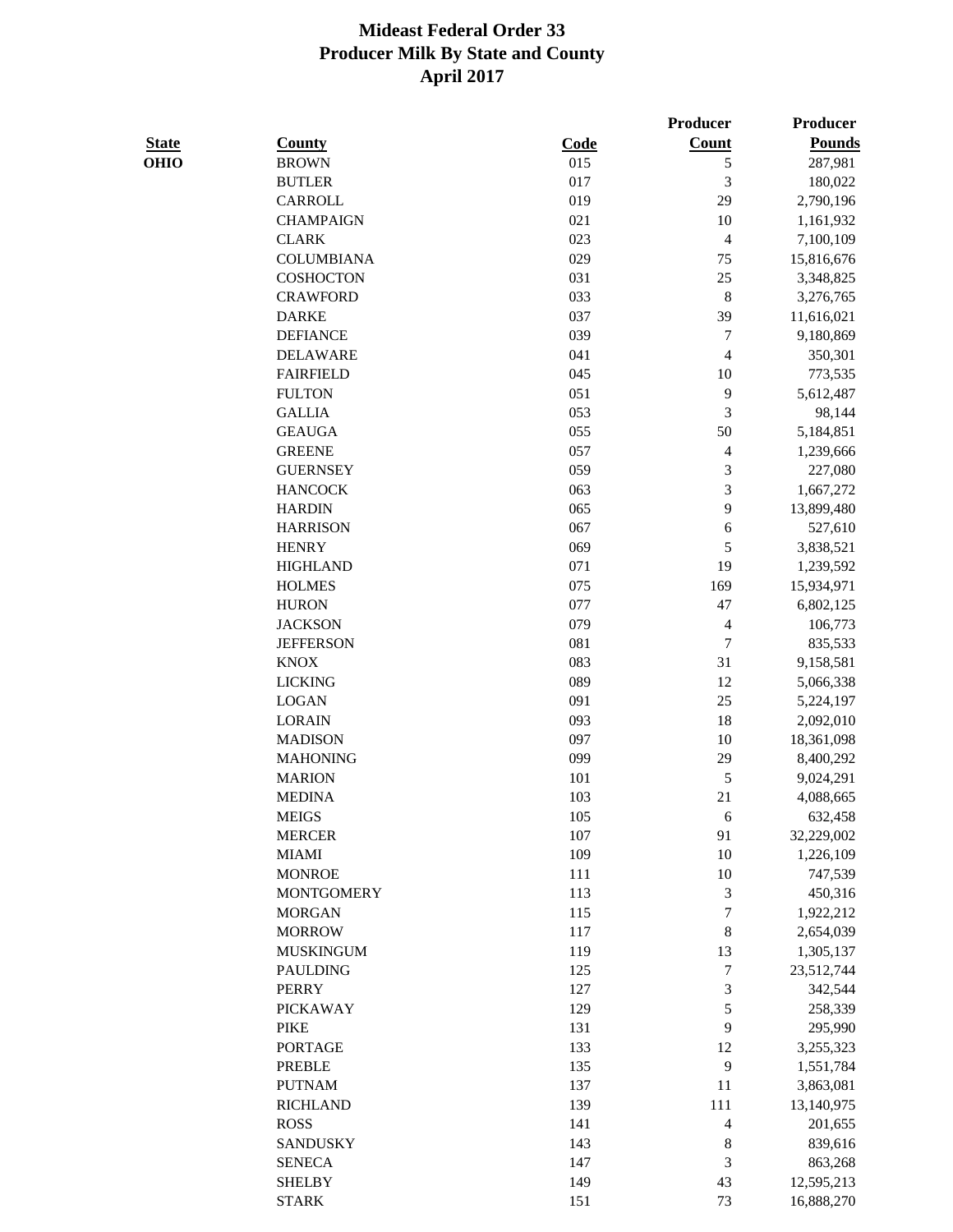|              |                   |      | <b>Producer</b>          | Producer      |
|--------------|-------------------|------|--------------------------|---------------|
| <b>State</b> | <b>County</b>     | Code | <b>Count</b>             | <b>Pounds</b> |
| <b>OHIO</b>  | <b>BROWN</b>      | 015  | 5                        | 287,981       |
|              | <b>BUTLER</b>     | 017  | 3                        | 180,022       |
|              | CARROLL           | 019  | 29                       | 2,790,196     |
|              | <b>CHAMPAIGN</b>  | 021  | 10                       | 1,161,932     |
|              | <b>CLARK</b>      | 023  | $\overline{4}$           | 7,100,109     |
|              | <b>COLUMBIANA</b> | 029  | 75                       | 15,816,676    |
|              | <b>COSHOCTON</b>  | 031  | 25                       | 3,348,825     |
|              | <b>CRAWFORD</b>   | 033  | $\,$ 8 $\,$              | 3,276,765     |
|              | <b>DARKE</b>      | 037  | 39                       | 11,616,021    |
|              | <b>DEFIANCE</b>   | 039  | 7                        | 9,180,869     |
|              | <b>DELAWARE</b>   | 041  | $\overline{\mathcal{L}}$ | 350,301       |
|              | <b>FAIRFIELD</b>  | 045  | 10                       | 773,535       |
|              | <b>FULTON</b>     | 051  | 9                        | 5,612,487     |
|              | <b>GALLIA</b>     | 053  | 3                        | 98,144        |
|              | <b>GEAUGA</b>     | 055  | 50                       | 5,184,851     |
|              | <b>GREENE</b>     | 057  | $\overline{4}$           | 1,239,666     |
|              | <b>GUERNSEY</b>   | 059  | 3                        | 227,080       |
|              | <b>HANCOCK</b>    | 063  | 3                        | 1,667,272     |
|              | <b>HARDIN</b>     | 065  | 9                        | 13,899,480    |
|              | <b>HARRISON</b>   | 067  | 6                        | 527,610       |
|              | <b>HENRY</b>      | 069  | 5                        | 3,838,521     |
|              | <b>HIGHLAND</b>   | 071  | 19                       | 1,239,592     |
|              | <b>HOLMES</b>     | 075  | 169                      | 15,934,971    |
|              | <b>HURON</b>      | 077  | 47                       | 6,802,125     |
|              | <b>JACKSON</b>    | 079  | $\overline{4}$           | 106,773       |
|              | <b>JEFFERSON</b>  | 081  | $\overline{7}$           | 835,533       |
|              | <b>KNOX</b>       | 083  | 31                       | 9,158,581     |
|              | <b>LICKING</b>    | 089  | 12                       | 5,066,338     |
|              | <b>LOGAN</b>      | 091  | 25                       | 5,224,197     |
|              | <b>LORAIN</b>     | 093  | 18                       | 2,092,010     |
|              | <b>MADISON</b>    | 097  | 10                       | 18,361,098    |
|              | <b>MAHONING</b>   | 099  | 29                       | 8,400,292     |
|              | <b>MARION</b>     | 101  | 5                        | 9,024,291     |
|              | <b>MEDINA</b>     | 103  | 21                       | 4,088,665     |
|              | <b>MEIGS</b>      | 105  | 6                        | 632,458       |
|              | <b>MERCER</b>     | 107  | 91                       | 32,229,002    |
|              | <b>MIAMI</b>      | 109  | $10\,$                   | 1,226,109     |
|              | <b>MONROE</b>     | 111  | 10                       | 747,539       |
|              | <b>MONTGOMERY</b> | 113  | 3                        | 450,316       |
|              | <b>MORGAN</b>     | 115  | $\boldsymbol{7}$         | 1,922,212     |
|              | <b>MORROW</b>     | 117  | 8                        | 2,654,039     |
|              | <b>MUSKINGUM</b>  | 119  | 13                       | 1,305,137     |
|              | <b>PAULDING</b>   | 125  | $\boldsymbol{7}$         | 23,512,744    |
|              | <b>PERRY</b>      | 127  | 3                        | 342,544       |
|              | <b>PICKAWAY</b>   | 129  | 5                        | 258,339       |
|              | <b>PIKE</b>       | 131  | 9                        | 295,990       |
|              | <b>PORTAGE</b>    | 133  | 12                       | 3,255,323     |
|              | <b>PREBLE</b>     | 135  | 9                        | 1,551,784     |
|              | <b>PUTNAM</b>     | 137  | 11                       | 3,863,081     |
|              | <b>RICHLAND</b>   | 139  | 111                      | 13,140,975    |
|              | <b>ROSS</b>       | 141  | 4                        | 201,655       |
|              | <b>SANDUSKY</b>   | 143  | 8                        | 839,616       |
|              | <b>SENECA</b>     | 147  | 3                        | 863,268       |
|              | <b>SHELBY</b>     | 149  | 43                       | 12,595,213    |
|              | <b>STARK</b>      | 151  | 73                       | 16,888,270    |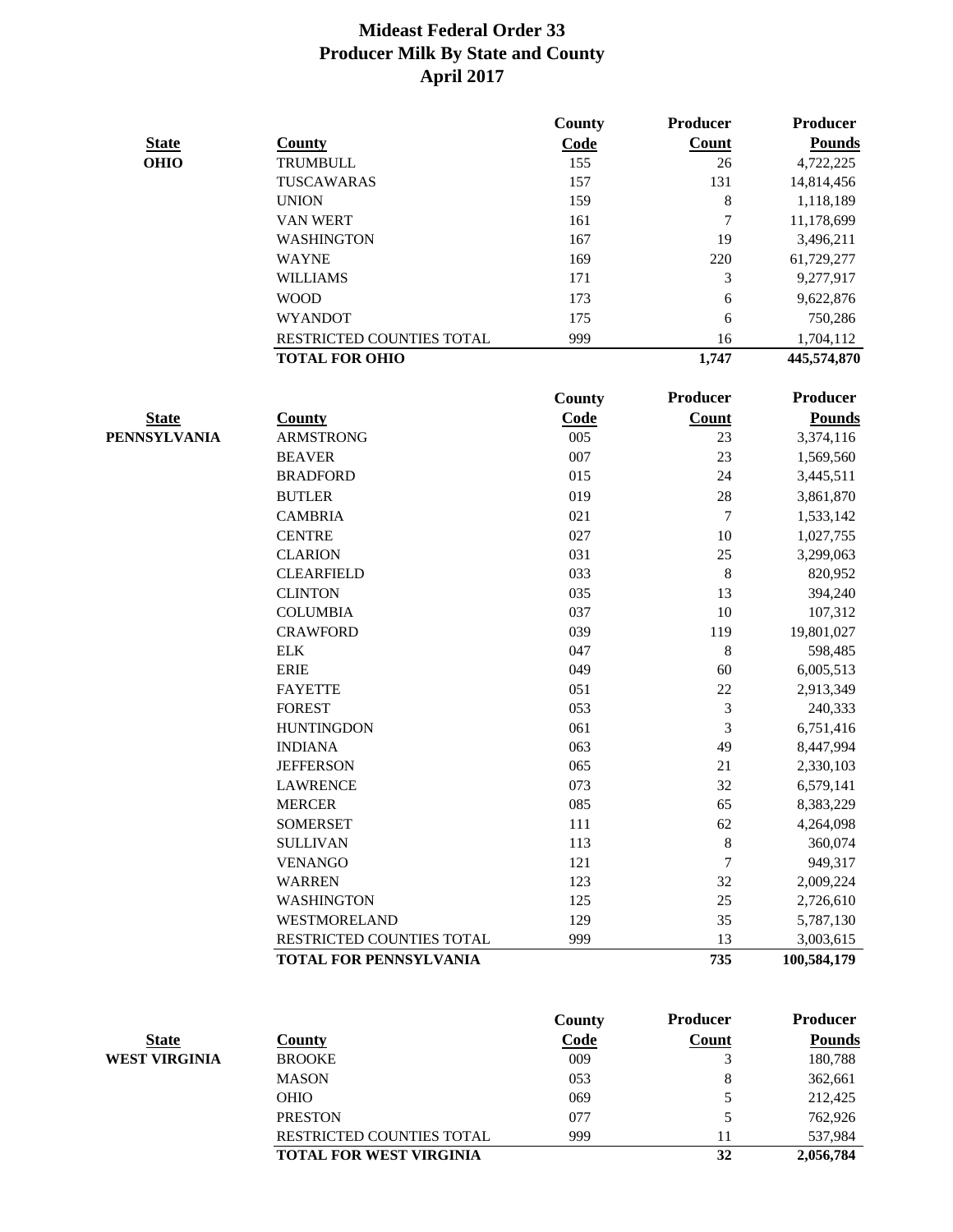|                     |                               | County        | <b>Producer</b> | <b>Producer</b> |
|---------------------|-------------------------------|---------------|-----------------|-----------------|
| <b>State</b>        | County                        | Code          | <b>Count</b>    | <b>Pounds</b>   |
| <b>OHIO</b>         | <b>TRUMBULL</b>               | 155           | 26              | 4,722,225       |
|                     | TUSCAWARAS                    | 157           | 131             | 14,814,456      |
|                     | <b>UNION</b>                  | 159           | 8               | 1,118,189       |
|                     | <b>VAN WERT</b>               | 161           | 7               | 11,178,699      |
|                     | WASHINGTON                    | 167           | 19              | 3,496,211       |
|                     | <b>WAYNE</b>                  | 169           | 220             | 61,729,277      |
|                     | <b>WILLIAMS</b>               | 171           | 3               | 9,277,917       |
|                     | <b>WOOD</b>                   | 173           | 6               | 9,622,876       |
|                     | <b>WYANDOT</b>                | 175           | 6               | 750,286         |
|                     | RESTRICTED COUNTIES TOTAL     | 999           | 16              | 1,704,112       |
|                     | <b>TOTAL FOR OHIO</b>         |               | 1,747           | 445,574,870     |
|                     |                               | <b>County</b> | <b>Producer</b> | <b>Producer</b> |
| <b>State</b>        | County                        | Code          | <b>Count</b>    | <b>Pounds</b>   |
| <b>PENNSYLVANIA</b> | <b>ARMSTRONG</b>              | 005           | 23              | 3,374,116       |
|                     | <b>BEAVER</b>                 | 007           | 23              | 1,569,560       |
|                     | <b>BRADFORD</b>               | 015           | 24              | 3,445,511       |
|                     | <b>BUTLER</b>                 | 019           | 28              | 3,861,870       |
|                     | <b>CAMBRIA</b>                | 021           | $\tau$          | 1,533,142       |
|                     | <b>CENTRE</b>                 | 027           | 10              | 1,027,755       |
|                     | <b>CLARION</b>                | 031           | 25              | 3,299,063       |
|                     | <b>CLEARFIELD</b>             | 033           | 8               | 820,952         |
|                     | <b>CLINTON</b>                | 035           | 13              | 394,240         |
|                     | <b>COLUMBIA</b>               | 037           | 10              | 107,312         |
|                     | <b>CRAWFORD</b>               | 039           | 119             | 19,801,027      |
|                     | <b>ELK</b>                    | 047           | $\,$ $\,$       | 598,485         |
|                     | <b>ERIE</b>                   | 049           | 60              | 6,005,513       |
|                     | <b>FAYETTE</b>                | 051           | 22              | 2,913,349       |
|                     | <b>FOREST</b>                 | 053           | 3               | 240,333         |
|                     | <b>HUNTINGDON</b>             | 061           | $\mathfrak{Z}$  | 6,751,416       |
|                     | <b>INDIANA</b>                | 063           | 49              | 8,447,994       |
|                     | <b>JEFFERSON</b>              | 065           | 21              | 2,330,103       |
|                     | <b>LAWRENCE</b>               | 073           | 32              | 6,579,141       |
|                     | <b>MERCER</b>                 | 085           | 65              | 8,383,229       |
|                     | <b>SOMERSET</b>               | 111           | 62              | 4,264,098       |
|                     | <b>SULLIVAN</b>               | 113           | $\,8\,$         | 360,074         |
|                     | <b>VENANGO</b>                | 121           | $\tau$          | 949,317         |
|                     | <b>WARREN</b>                 | 123           | 32              | 2,009,224       |
|                     | <b>WASHINGTON</b>             | 125           | 25              | 2,726,610       |
|                     | WESTMORELAND                  | 129           | 35              | 5,787,130       |
|                     | RESTRICTED COUNTIES TOTAL     | 999           | 13              | 3,003,615       |
|                     | <b>TOTAL FOR PENNSYLVANIA</b> |               | 735             | 100,584,179     |

|                      |                                  | County | <b>Producer</b> | <b>Producer</b> |
|----------------------|----------------------------------|--------|-----------------|-----------------|
| <b>State</b>         | County                           | Code   | <b>Count</b>    | <b>Pounds</b>   |
| <b>WEST VIRGINIA</b> | <b>BROOKE</b>                    | 009    |                 | 180,788         |
|                      | <b>MASON</b>                     | 053    | 8               | 362,661         |
|                      | <b>OHIO</b>                      | 069    | 5               | 212,425         |
|                      | <b>PRESTON</b>                   | 077    | 5               | 762,926         |
|                      | <b>RESTRICTED COUNTIES TOTAL</b> | 999    |                 | 537.984         |
|                      | <b>TOTAL FOR WEST VIRGINIA</b>   |        | 32              | 2,056,784       |